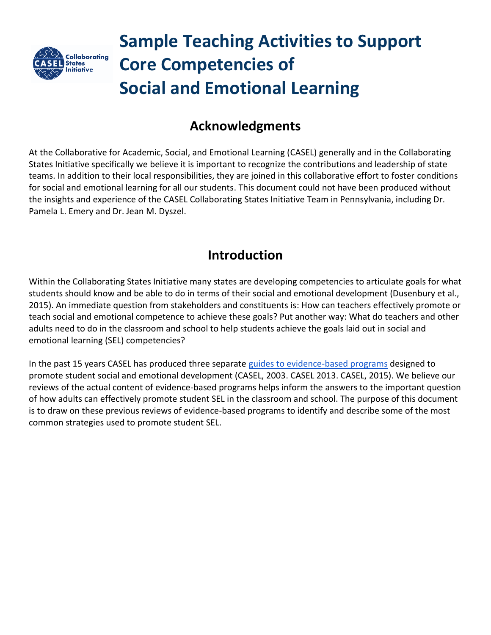

# **Sample Teaching Activities to Support Core Competencies of Social and Emotional Learning**

### **Acknowledgments**

At the Collaborative for Academic, Social, and Emotional Learning (CASEL) generally and in the Collaborating States Initiative specifically we believe it is important to recognize the contributions and leadership of state teams. In addition to their local responsibilities, they are joined in this collaborative effort to foster conditions for social and emotional learning for all our students. This document could not have been produced without the insights and experience of the CASEL Collaborating States Initiative Team in Pennsylvania, including Dr. Pamela L. Emery and Dr. Jean M. Dyszel.

#### **Introduction**

Within the Collaborating States Initiative many states are developing competencies to articulate goals for what students should know and be able to do in terms of their social and emotional development (Dusenbury et al., 2015). An immediate question from stakeholders and constituents is: How can teachers effectively promote or teach social and emotional competence to achieve these goals? Put another way: What do teachers and other adults need to do in the classroom and school to help students achieve the goals laid out in social and emotional learning (SEL) competencies?

In the past 15 years CASEL has produced three separate [guides to evidence-based programs](http://www.casel.org/guide/) designed to promote student social and emotional development (CASEL, 2003. CASEL 2013. CASEL, 2015). We believe our reviews of the actual content of evidence-based programs helps inform the answers to the important question of how adults can effectively promote student SEL in the classroom and school. The purpose of this document is to draw on these previous reviews of evidence-based programs to identify and describe some of the most common strategies used to promote student SEL.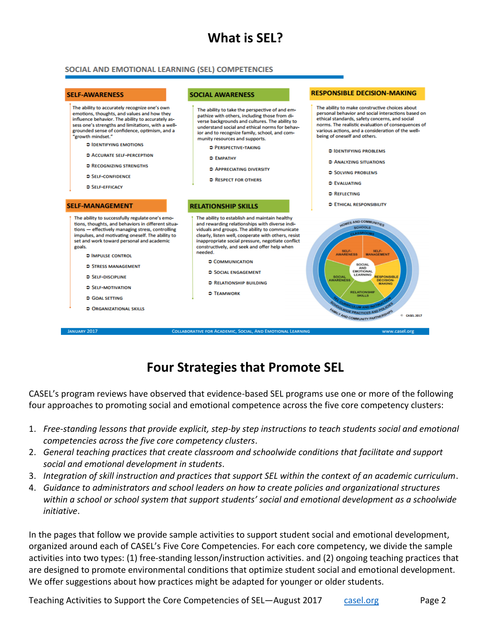### **What is SEL?**

#### SOCIAL AND EMOTIONAL LEARNING (SEL) COMPETENCIES



#### **Four Strategies that Promote SEL**

CASEL's program reviews have observed that evidence-based SEL programs use one or more of the following four approaches to promoting social and emotional competence across the five core competency clusters:

- 1. *Free-standing lessons that provide explicit, step-by step instructions to teach students social and emotional competencies across the five core competency clusters*.
- 2. *General teaching practices that create classroom and schoolwide conditions that facilitate and support social and emotional development in students*.
- 3. *Integration of skill instruction and practices that support SEL within the context of an academic curriculum*.
- 4. *Guidance to administrators and school leaders on how to create policies and organizational structures within a school or school system that support students' social and emotional development as a schoolwide initiative*.

In the pages that follow we provide sample activities to support student social and emotional development, organized around each of CASEL's Five Core Competencies. For each core competency, we divide the sample activities into two types: (1) free-standing lesson/instruction activities. and (2) ongoing teaching practices that are designed to promote environmental conditions that optimize student social and emotional development. We offer suggestions about how practices might be adapted for younger or older students.

Teaching Activities to Support the Core Competencies of SEL—August 2017 [casel.org](http://www.casel.org/) Page 2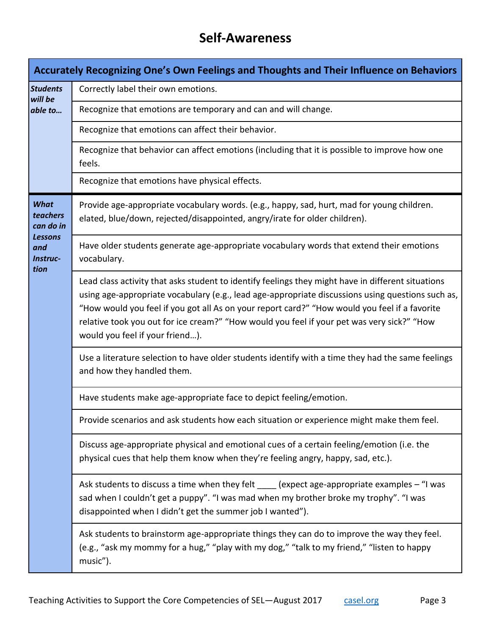### **Self-Awareness**

|                                           | Accurately Recognizing One's Own Feelings and Thoughts and Their Influence on Behaviors                                                                                                                                                                                                                                                                                                                                                   |  |  |
|-------------------------------------------|-------------------------------------------------------------------------------------------------------------------------------------------------------------------------------------------------------------------------------------------------------------------------------------------------------------------------------------------------------------------------------------------------------------------------------------------|--|--|
| <b>Students</b><br>will be<br>able to     | Correctly label their own emotions.                                                                                                                                                                                                                                                                                                                                                                                                       |  |  |
|                                           | Recognize that emotions are temporary and can and will change.                                                                                                                                                                                                                                                                                                                                                                            |  |  |
|                                           | Recognize that emotions can affect their behavior.                                                                                                                                                                                                                                                                                                                                                                                        |  |  |
|                                           | Recognize that behavior can affect emotions (including that it is possible to improve how one<br>feels.                                                                                                                                                                                                                                                                                                                                   |  |  |
|                                           | Recognize that emotions have physical effects.                                                                                                                                                                                                                                                                                                                                                                                            |  |  |
| <b>What</b><br>teachers<br>can do in      | Provide age-appropriate vocabulary words. (e.g., happy, sad, hurt, mad for young children.<br>elated, blue/down, rejected/disappointed, angry/irate for older children).                                                                                                                                                                                                                                                                  |  |  |
| <b>Lessons</b><br>and<br>Instruc-<br>tion | Have older students generate age-appropriate vocabulary words that extend their emotions<br>vocabulary.                                                                                                                                                                                                                                                                                                                                   |  |  |
|                                           | Lead class activity that asks student to identify feelings they might have in different situations<br>using age-appropriate vocabulary (e.g., lead age-appropriate discussions using questions such as,<br>"How would you feel if you got all As on your report card?" "How would you feel if a favorite<br>relative took you out for ice cream?" "How would you feel if your pet was very sick?" "How<br>would you feel if your friend). |  |  |
|                                           | Use a literature selection to have older students identify with a time they had the same feelings<br>and how they handled them.                                                                                                                                                                                                                                                                                                           |  |  |
|                                           | Have students make age-appropriate face to depict feeling/emotion.                                                                                                                                                                                                                                                                                                                                                                        |  |  |
|                                           | Provide scenarios and ask students how each situation or experience might make them feel.                                                                                                                                                                                                                                                                                                                                                 |  |  |
|                                           | Discuss age-appropriate physical and emotional cues of a certain feeling/emotion (i.e. the<br>physical cues that help them know when they're feeling angry, happy, sad, etc.).                                                                                                                                                                                                                                                            |  |  |
|                                           | Ask students to discuss a time when they felt ____ (expect age-appropriate examples - "I was<br>sad when I couldn't get a puppy". "I was mad when my brother broke my trophy". "I was<br>disappointed when I didn't get the summer job I wanted").                                                                                                                                                                                        |  |  |
|                                           | Ask students to brainstorm age-appropriate things they can do to improve the way they feel.<br>(e.g., "ask my mommy for a hug," "play with my dog," "talk to my friend," "listen to happy<br>music").                                                                                                                                                                                                                                     |  |  |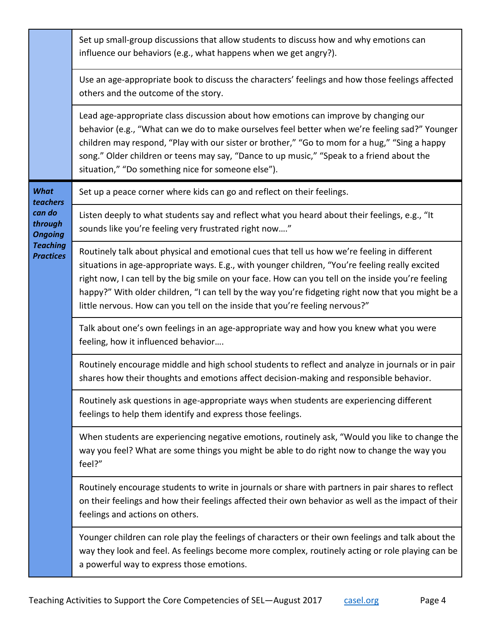|                                     | Set up small-group discussions that allow students to discuss how and why emotions can<br>influence our behaviors (e.g., what happens when we get angry?).                                                                                                                                                                                                                                                                                                                                  |
|-------------------------------------|---------------------------------------------------------------------------------------------------------------------------------------------------------------------------------------------------------------------------------------------------------------------------------------------------------------------------------------------------------------------------------------------------------------------------------------------------------------------------------------------|
|                                     | Use an age-appropriate book to discuss the characters' feelings and how those feelings affected<br>others and the outcome of the story.                                                                                                                                                                                                                                                                                                                                                     |
|                                     | Lead age-appropriate class discussion about how emotions can improve by changing our<br>behavior (e.g., "What can we do to make ourselves feel better when we're feeling sad?" Younger<br>children may respond, "Play with our sister or brother," "Go to mom for a hug," "Sing a happy<br>song." Older children or teens may say, "Dance to up music," "Speak to a friend about the<br>situation," "Do something nice for someone else").                                                  |
| <b>What</b><br>teachers             | Set up a peace corner where kids can go and reflect on their feelings.                                                                                                                                                                                                                                                                                                                                                                                                                      |
| can do<br>through<br><b>Ongoing</b> | Listen deeply to what students say and reflect what you heard about their feelings, e.g., "It<br>sounds like you're feeling very frustrated right now"                                                                                                                                                                                                                                                                                                                                      |
| <b>Teaching</b><br><b>Practices</b> | Routinely talk about physical and emotional cues that tell us how we're feeling in different<br>situations in age-appropriate ways. E.g., with younger children, "You're feeling really excited<br>right now, I can tell by the big smile on your face. How can you tell on the inside you're feeling<br>happy?" With older children, "I can tell by the way you're fidgeting right now that you might be a<br>little nervous. How can you tell on the inside that you're feeling nervous?" |
|                                     | Talk about one's own feelings in an age-appropriate way and how you knew what you were<br>feeling, how it influenced behavior                                                                                                                                                                                                                                                                                                                                                               |
|                                     | Routinely encourage middle and high school students to reflect and analyze in journals or in pair<br>shares how their thoughts and emotions affect decision-making and responsible behavior.                                                                                                                                                                                                                                                                                                |
|                                     | Routinely ask questions in age-appropriate ways when students are experiencing different<br>feelings to help them identify and express those feelings.                                                                                                                                                                                                                                                                                                                                      |
|                                     | When students are experiencing negative emotions, routinely ask, "Would you like to change the<br>way you feel? What are some things you might be able to do right now to change the way you<br>feel?"                                                                                                                                                                                                                                                                                      |
|                                     | Routinely encourage students to write in journals or share with partners in pair shares to reflect<br>on their feelings and how their feelings affected their own behavior as well as the impact of their<br>feelings and actions on others.                                                                                                                                                                                                                                                |
|                                     | Younger children can role play the feelings of characters or their own feelings and talk about the<br>way they look and feel. As feelings become more complex, routinely acting or role playing can be<br>a powerful way to express those emotions.                                                                                                                                                                                                                                         |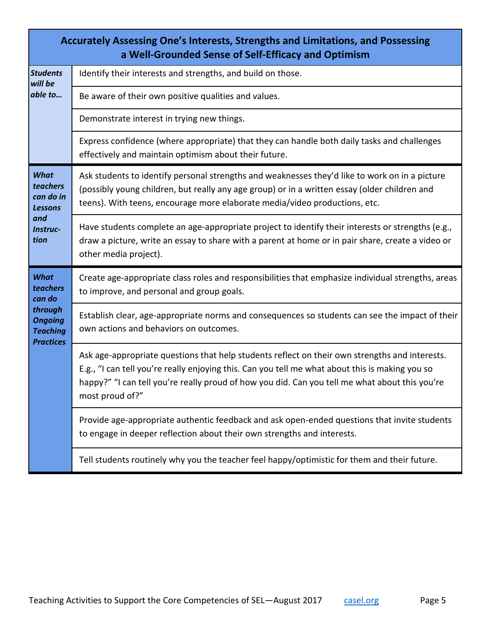| Accurately Assessing One's Interests, Strengths and Limitations, and Possessing<br>a Well-Grounded Sense of Self-Efficacy and Optimism |                                                                                                                                                                                                                                                                                                                        |
|----------------------------------------------------------------------------------------------------------------------------------------|------------------------------------------------------------------------------------------------------------------------------------------------------------------------------------------------------------------------------------------------------------------------------------------------------------------------|
| <b>Students</b><br>will be                                                                                                             | Identify their interests and strengths, and build on those.                                                                                                                                                                                                                                                            |
| able to                                                                                                                                | Be aware of their own positive qualities and values.                                                                                                                                                                                                                                                                   |
|                                                                                                                                        | Demonstrate interest in trying new things.                                                                                                                                                                                                                                                                             |
|                                                                                                                                        | Express confidence (where appropriate) that they can handle both daily tasks and challenges<br>effectively and maintain optimism about their future.                                                                                                                                                                   |
| <b>What</b><br>teachers<br>can do in<br><b>Lessons</b><br>and<br>Instruc-<br>tion                                                      | Ask students to identify personal strengths and weaknesses they'd like to work on in a picture<br>(possibly young children, but really any age group) or in a written essay (older children and<br>teens). With teens, encourage more elaborate media/video productions, etc.                                          |
|                                                                                                                                        | Have students complete an age-appropriate project to identify their interests or strengths (e.g.,<br>draw a picture, write an essay to share with a parent at home or in pair share, create a video or<br>other media project).                                                                                        |
| <b>What</b><br>teachers<br>can do<br>through<br><b>Ongoing</b><br><b>Teaching</b><br><b>Practices</b>                                  | Create age-appropriate class roles and responsibilities that emphasize individual strengths, areas<br>to improve, and personal and group goals.                                                                                                                                                                        |
|                                                                                                                                        | Establish clear, age-appropriate norms and consequences so students can see the impact of their<br>own actions and behaviors on outcomes.                                                                                                                                                                              |
|                                                                                                                                        | Ask age-appropriate questions that help students reflect on their own strengths and interests.<br>E.g., "I can tell you're really enjoying this. Can you tell me what about this is making you so<br>happy?" "I can tell you're really proud of how you did. Can you tell me what about this you're<br>most proud of?" |
|                                                                                                                                        | Provide age-appropriate authentic feedback and ask open-ended questions that invite students<br>to engage in deeper reflection about their own strengths and interests.                                                                                                                                                |
|                                                                                                                                        | Tell students routinely why you the teacher feel happy/optimistic for them and their future.                                                                                                                                                                                                                           |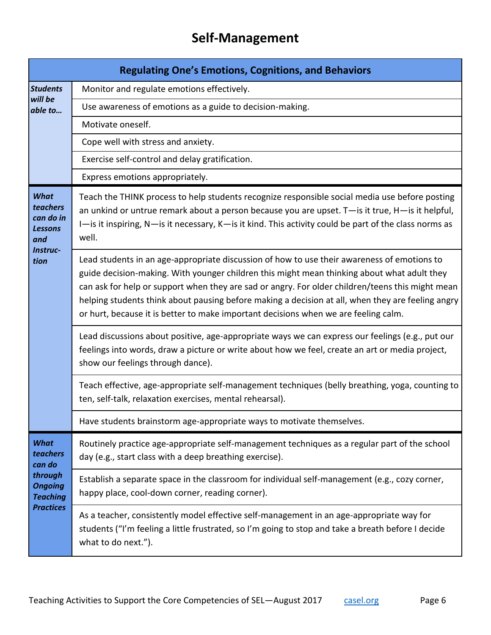# **Self-Management**

|                                                                                                              | <b>Regulating One's Emotions, Cognitions, and Behaviors</b>                                                                                                                                                                                                                                                                                                                                                                                                                                |
|--------------------------------------------------------------------------------------------------------------|--------------------------------------------------------------------------------------------------------------------------------------------------------------------------------------------------------------------------------------------------------------------------------------------------------------------------------------------------------------------------------------------------------------------------------------------------------------------------------------------|
| <b>Students</b><br>will be<br>able to                                                                        | Monitor and regulate emotions effectively.                                                                                                                                                                                                                                                                                                                                                                                                                                                 |
|                                                                                                              | Use awareness of emotions as a guide to decision-making.                                                                                                                                                                                                                                                                                                                                                                                                                                   |
|                                                                                                              | Motivate oneself.                                                                                                                                                                                                                                                                                                                                                                                                                                                                          |
|                                                                                                              | Cope well with stress and anxiety.                                                                                                                                                                                                                                                                                                                                                                                                                                                         |
|                                                                                                              | Exercise self-control and delay gratification.                                                                                                                                                                                                                                                                                                                                                                                                                                             |
|                                                                                                              | Express emotions appropriately.                                                                                                                                                                                                                                                                                                                                                                                                                                                            |
| What<br><b>teachers</b><br>can do in<br><b>Lessons</b><br>and<br>Instruc-<br>tion                            | Teach the THINK process to help students recognize responsible social media use before posting<br>an unkind or untrue remark about a person because you are upset. T—is it true, H—is it helpful,<br>I—is it inspiring, N—is it necessary, K—is it kind. This activity could be part of the class norms as<br>well.                                                                                                                                                                        |
|                                                                                                              | Lead students in an age-appropriate discussion of how to use their awareness of emotions to<br>guide decision-making. With younger children this might mean thinking about what adult they<br>can ask for help or support when they are sad or angry. For older children/teens this might mean<br>helping students think about pausing before making a decision at all, when they are feeling angry<br>or hurt, because it is better to make important decisions when we are feeling calm. |
|                                                                                                              | Lead discussions about positive, age-appropriate ways we can express our feelings (e.g., put our<br>feelings into words, draw a picture or write about how we feel, create an art or media project,<br>show our feelings through dance).                                                                                                                                                                                                                                                   |
|                                                                                                              | Teach effective, age-appropriate self-management techniques (belly breathing, yoga, counting to<br>ten, self-talk, relaxation exercises, mental rehearsal).                                                                                                                                                                                                                                                                                                                                |
|                                                                                                              | Have students brainstorm age-appropriate ways to motivate themselves.                                                                                                                                                                                                                                                                                                                                                                                                                      |
| <b>What</b><br><b>teachers</b><br>can do<br>through<br><b>Ongoing</b><br><b>Teaching</b><br><b>Practices</b> | Routinely practice age-appropriate self-management techniques as a regular part of the school<br>day (e.g., start class with a deep breathing exercise).                                                                                                                                                                                                                                                                                                                                   |
|                                                                                                              | Establish a separate space in the classroom for individual self-management (e.g., cozy corner,<br>happy place, cool-down corner, reading corner).                                                                                                                                                                                                                                                                                                                                          |
|                                                                                                              | As a teacher, consistently model effective self-management in an age-appropriate way for<br>students ("I'm feeling a little frustrated, so I'm going to stop and take a breath before I decide<br>what to do next.").                                                                                                                                                                                                                                                                      |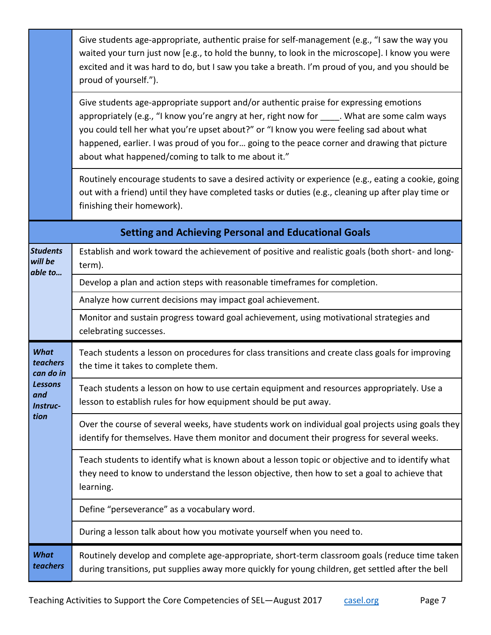|                                           | Give students age-appropriate, authentic praise for self-management (e.g., "I saw the way you<br>waited your turn just now [e.g., to hold the bunny, to look in the microscope]. I know you were<br>excited and it was hard to do, but I saw you take a breath. I'm proud of you, and you should be<br>proud of yourself.").                                                                                                              |  |  |
|-------------------------------------------|-------------------------------------------------------------------------------------------------------------------------------------------------------------------------------------------------------------------------------------------------------------------------------------------------------------------------------------------------------------------------------------------------------------------------------------------|--|--|
|                                           | Give students age-appropriate support and/or authentic praise for expressing emotions<br>appropriately (e.g., "I know you're angry at her, right now for _____. What are some calm ways<br>you could tell her what you're upset about?" or "I know you were feeling sad about what<br>happened, earlier. I was proud of you for going to the peace corner and drawing that picture<br>about what happened/coming to talk to me about it." |  |  |
|                                           | Routinely encourage students to save a desired activity or experience (e.g., eating a cookie, going<br>out with a friend) until they have completed tasks or duties (e.g., cleaning up after play time or<br>finishing their homework).                                                                                                                                                                                                   |  |  |
|                                           | <b>Setting and Achieving Personal and Educational Goals</b>                                                                                                                                                                                                                                                                                                                                                                               |  |  |
| <b>Students</b><br>will be<br>able to     | Establish and work toward the achievement of positive and realistic goals (both short- and long-<br>term).                                                                                                                                                                                                                                                                                                                                |  |  |
|                                           | Develop a plan and action steps with reasonable timeframes for completion.                                                                                                                                                                                                                                                                                                                                                                |  |  |
|                                           | Analyze how current decisions may impact goal achievement.                                                                                                                                                                                                                                                                                                                                                                                |  |  |
|                                           | Monitor and sustain progress toward goal achievement, using motivational strategies and<br>celebrating successes.                                                                                                                                                                                                                                                                                                                         |  |  |
| What<br>teachers<br>can do in             | Teach students a lesson on procedures for class transitions and create class goals for improving<br>the time it takes to complete them.                                                                                                                                                                                                                                                                                                   |  |  |
| <b>Lessons</b><br>and<br>Instruc-<br>tion | Teach students a lesson on how to use certain equipment and resources appropriately. Use a<br>lesson to establish rules for how equipment should be put away.                                                                                                                                                                                                                                                                             |  |  |
|                                           | Over the course of several weeks, have students work on individual goal projects using goals they<br>identify for themselves. Have them monitor and document their progress for several weeks.                                                                                                                                                                                                                                            |  |  |
|                                           | Teach students to identify what is known about a lesson topic or objective and to identify what<br>they need to know to understand the lesson objective, then how to set a goal to achieve that<br>learning.                                                                                                                                                                                                                              |  |  |
|                                           | Define "perseverance" as a vocabulary word.                                                                                                                                                                                                                                                                                                                                                                                               |  |  |
|                                           | During a lesson talk about how you motivate yourself when you need to.                                                                                                                                                                                                                                                                                                                                                                    |  |  |
| <b>What</b><br>teachers                   | Routinely develop and complete age-appropriate, short-term classroom goals (reduce time taken<br>during transitions, put supplies away more quickly for young children, get settled after the bell                                                                                                                                                                                                                                        |  |  |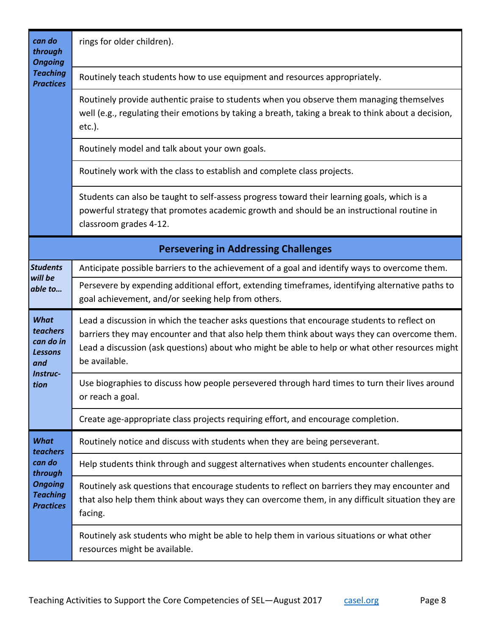| can do<br>through<br><b>Ongoing</b><br><b>Teaching</b><br><b>Practices</b> | rings for older children).                                                                                                                                                                                                                                                                                      |  |
|----------------------------------------------------------------------------|-----------------------------------------------------------------------------------------------------------------------------------------------------------------------------------------------------------------------------------------------------------------------------------------------------------------|--|
|                                                                            | Routinely teach students how to use equipment and resources appropriately.                                                                                                                                                                                                                                      |  |
|                                                                            | Routinely provide authentic praise to students when you observe them managing themselves<br>well (e.g., regulating their emotions by taking a breath, taking a break to think about a decision,<br>$etc.$ ).                                                                                                    |  |
|                                                                            | Routinely model and talk about your own goals.                                                                                                                                                                                                                                                                  |  |
|                                                                            | Routinely work with the class to establish and complete class projects.                                                                                                                                                                                                                                         |  |
|                                                                            | Students can also be taught to self-assess progress toward their learning goals, which is a<br>powerful strategy that promotes academic growth and should be an instructional routine in<br>classroom grades 4-12.                                                                                              |  |
| <b>Persevering in Addressing Challenges</b>                                |                                                                                                                                                                                                                                                                                                                 |  |
| <b>Students</b>                                                            | Anticipate possible barriers to the achievement of a goal and identify ways to overcome them.                                                                                                                                                                                                                   |  |
| will be<br>able to                                                         | Persevere by expending additional effort, extending timeframes, identifying alternative paths to<br>goal achievement, and/or seeking help from others.                                                                                                                                                          |  |
| <b>What</b><br>teachers<br>can do in<br>Lessons<br>and                     | Lead a discussion in which the teacher asks questions that encourage students to reflect on<br>barriers they may encounter and that also help them think about ways they can overcome them.<br>Lead a discussion (ask questions) about who might be able to help or what other resources might<br>be available. |  |
| <i><b>Instruc-</b></i><br>tion                                             | Use biographies to discuss how people persevered through hard times to turn their lives around<br>or reach a goal.                                                                                                                                                                                              |  |
|                                                                            | Create age-appropriate class projects requiring effort, and encourage completion.                                                                                                                                                                                                                               |  |
| <b>What</b><br><b>teachers</b>                                             | Routinely notice and discuss with students when they are being perseverant.                                                                                                                                                                                                                                     |  |
| can do<br>through<br><b>Ongoing</b><br><b>Teaching</b><br><b>Practices</b> | Help students think through and suggest alternatives when students encounter challenges.                                                                                                                                                                                                                        |  |
|                                                                            | Routinely ask questions that encourage students to reflect on barriers they may encounter and<br>that also help them think about ways they can overcome them, in any difficult situation they are<br>facing.                                                                                                    |  |
|                                                                            | Routinely ask students who might be able to help them in various situations or what other<br>resources might be available.                                                                                                                                                                                      |  |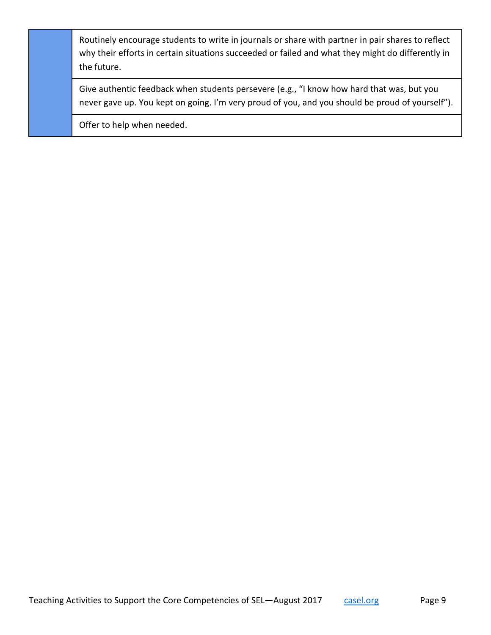Routinely encourage students to write in journals or share with partner in pair shares to reflect why their efforts in certain situations succeeded or failed and what they might do differently in the future.

Give authentic feedback when students persevere (e.g., "I know how hard that was, but you never gave up. You kept on going. I'm very proud of you, and you should be proud of yourself").

Offer to help when needed.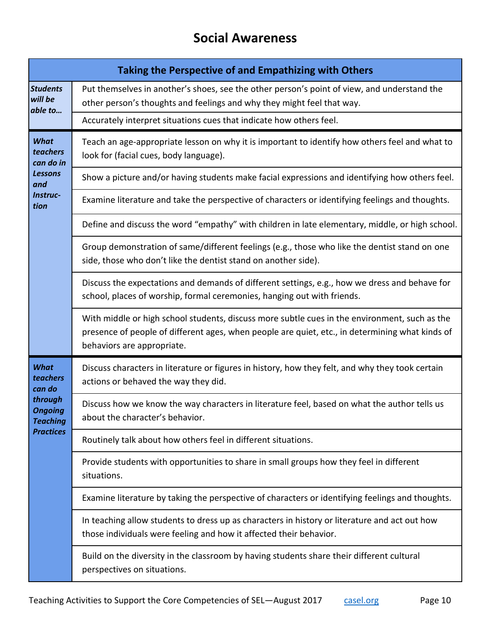## **Social Awareness**

|                                          | Taking the Perspective of and Empathizing with Others                                                                                                                                                                          |  |
|------------------------------------------|--------------------------------------------------------------------------------------------------------------------------------------------------------------------------------------------------------------------------------|--|
| <b>Students</b><br>will be<br>able to    | Put themselves in another's shoes, see the other person's point of view, and understand the<br>other person's thoughts and feelings and why they might feel that way.                                                          |  |
|                                          | Accurately interpret situations cues that indicate how others feel.                                                                                                                                                            |  |
| What<br><b>teachers</b><br>can do in     | Teach an age-appropriate lesson on why it is important to identify how others feel and what to<br>look for (facial cues, body language).                                                                                       |  |
| <b>Lessons</b><br>and                    | Show a picture and/or having students make facial expressions and identifying how others feel.                                                                                                                                 |  |
| Instruc-<br>tion                         | Examine literature and take the perspective of characters or identifying feelings and thoughts.                                                                                                                                |  |
|                                          | Define and discuss the word "empathy" with children in late elementary, middle, or high school.                                                                                                                                |  |
|                                          | Group demonstration of same/different feelings (e.g., those who like the dentist stand on one<br>side, those who don't like the dentist stand on another side).                                                                |  |
|                                          | Discuss the expectations and demands of different settings, e.g., how we dress and behave for<br>school, places of worship, formal ceremonies, hanging out with friends.                                                       |  |
|                                          | With middle or high school students, discuss more subtle cues in the environment, such as the<br>presence of people of different ages, when people are quiet, etc., in determining what kinds of<br>behaviors are appropriate. |  |
| <b>What</b><br><b>teachers</b><br>can do | Discuss characters in literature or figures in history, how they felt, and why they took certain<br>actions or behaved the way they did.                                                                                       |  |
| through<br><b>Ongoing</b><br>Teaching    | Discuss how we know the way characters in literature feel, based on what the author tells us<br>about the character's behavior.                                                                                                |  |
| <b>Practices</b>                         | Routinely talk about how others feel in different situations.                                                                                                                                                                  |  |
|                                          | Provide students with opportunities to share in small groups how they feel in different<br>situations.                                                                                                                         |  |
|                                          | Examine literature by taking the perspective of characters or identifying feelings and thoughts.                                                                                                                               |  |
|                                          | In teaching allow students to dress up as characters in history or literature and act out how<br>those individuals were feeling and how it affected their behavior.                                                            |  |
|                                          | Build on the diversity in the classroom by having students share their different cultural<br>perspectives on situations.                                                                                                       |  |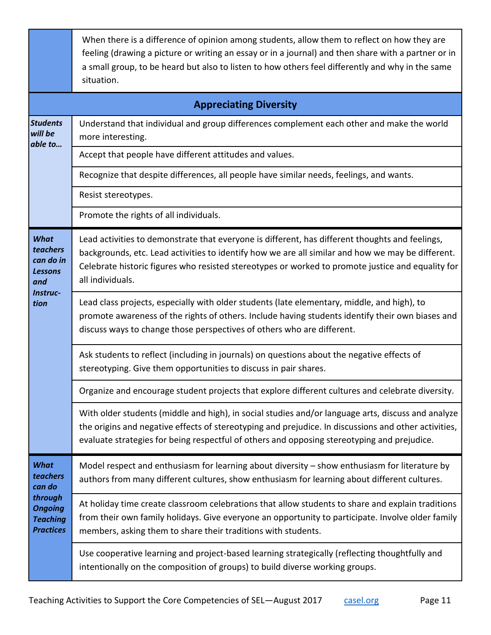|                                                                                   | When there is a difference of opinion among students, allow them to reflect on how they are<br>feeling (drawing a picture or writing an essay or in a journal) and then share with a partner or in<br>a small group, to be heard but also to listen to how others feel differently and why in the same<br>situation.          |
|-----------------------------------------------------------------------------------|-------------------------------------------------------------------------------------------------------------------------------------------------------------------------------------------------------------------------------------------------------------------------------------------------------------------------------|
|                                                                                   | <b>Appreciating Diversity</b>                                                                                                                                                                                                                                                                                                 |
| <b>Students</b><br>will be<br>able to                                             | Understand that individual and group differences complement each other and make the world<br>more interesting.                                                                                                                                                                                                                |
|                                                                                   | Accept that people have different attitudes and values.                                                                                                                                                                                                                                                                       |
|                                                                                   | Recognize that despite differences, all people have similar needs, feelings, and wants.                                                                                                                                                                                                                                       |
|                                                                                   | Resist stereotypes.                                                                                                                                                                                                                                                                                                           |
|                                                                                   | Promote the rights of all individuals.                                                                                                                                                                                                                                                                                        |
| <b>What</b><br>teachers<br>can do in<br><b>Lessons</b><br>and<br>Instruc-<br>tion | Lead activities to demonstrate that everyone is different, has different thoughts and feelings,<br>backgrounds, etc. Lead activities to identify how we are all similar and how we may be different.<br>Celebrate historic figures who resisted stereotypes or worked to promote justice and equality for<br>all individuals. |
|                                                                                   | Lead class projects, especially with older students (late elementary, middle, and high), to<br>promote awareness of the rights of others. Include having students identify their own biases and<br>discuss ways to change those perspectives of others who are different.                                                     |
|                                                                                   | Ask students to reflect (including in journals) on questions about the negative effects of<br>stereotyping. Give them opportunities to discuss in pair shares.                                                                                                                                                                |
|                                                                                   | Organize and encourage student projects that explore different cultures and celebrate diversity.                                                                                                                                                                                                                              |
|                                                                                   | With older students (middle and high), in social studies and/or language arts, discuss and analyze<br>the origins and negative effects of stereotyping and prejudice. In discussions and other activities,<br>evaluate strategies for being respectful of others and opposing stereotyping and prejudice.                     |
| <b>What</b><br>teachers<br>can do                                                 | Model respect and enthusiasm for learning about diversity - show enthusiasm for literature by<br>authors from many different cultures, show enthusiasm for learning about different cultures.                                                                                                                                 |
| through<br><b>Ongoing</b><br><b>Teaching</b><br><b>Practices</b>                  | At holiday time create classroom celebrations that allow students to share and explain traditions<br>from their own family holidays. Give everyone an opportunity to participate. Involve older family<br>members, asking them to share their traditions with students.                                                       |
|                                                                                   | Use cooperative learning and project-based learning strategically (reflecting thoughtfully and<br>intentionally on the composition of groups) to build diverse working groups.                                                                                                                                                |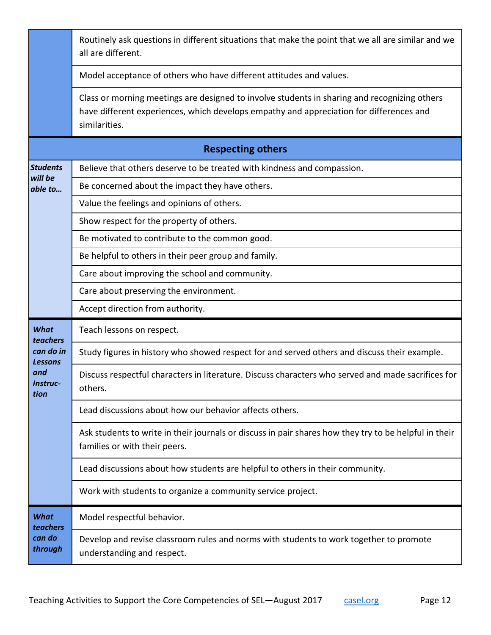|                            | Routinely ask questions in different situations that make the point that we all are similar and we<br>all are different.                                                                                 |
|----------------------------|----------------------------------------------------------------------------------------------------------------------------------------------------------------------------------------------------------|
|                            | Model acceptance of others who have different attitudes and values.                                                                                                                                      |
|                            | Class or morning meetings are designed to involve students in sharing and recognizing others<br>have different experiences, which develops empathy and appreciation for differences and<br>similarities. |
|                            | <b>Respecting others</b>                                                                                                                                                                                 |
| <b>Students</b><br>will be | Believe that others deserve to be treated with kindness and compassion.                                                                                                                                  |
| able to                    | Be concerned about the impact they have others.                                                                                                                                                          |
|                            | Value the feelings and opinions of others.                                                                                                                                                               |
|                            | Show respect for the property of others.                                                                                                                                                                 |
|                            | Be motivated to contribute to the common good.                                                                                                                                                           |
|                            | Be helpful to others in their peer group and family.                                                                                                                                                     |
|                            | Care about improving the school and community.                                                                                                                                                           |
|                            | Care about preserving the environment.                                                                                                                                                                   |
|                            | Accept direction from authority.                                                                                                                                                                         |
| <b>What</b><br>teachers    | Teach lessons on respect.                                                                                                                                                                                |
| can do in<br>Lessons       | Study figures in history who showed respect for and served others and discuss their example.                                                                                                             |
| and<br>Instruc-<br>tion    | Discuss respectful characters in literature. Discuss characters who served and made sacrifices for<br>others.                                                                                            |
|                            | Lead discussions about how our behavior affects others.                                                                                                                                                  |
|                            | Ask students to write in their journals or discuss in pair shares how they try to be helpful in their<br>families or with their peers.                                                                   |
|                            | Lead discussions about how students are helpful to others in their community.                                                                                                                            |
|                            | Work with students to organize a community service project.                                                                                                                                              |
| <b>What</b><br>teachers    | Model respectful behavior.                                                                                                                                                                               |
| can do<br>through          | Develop and revise classroom rules and norms with students to work together to promote<br>understanding and respect.                                                                                     |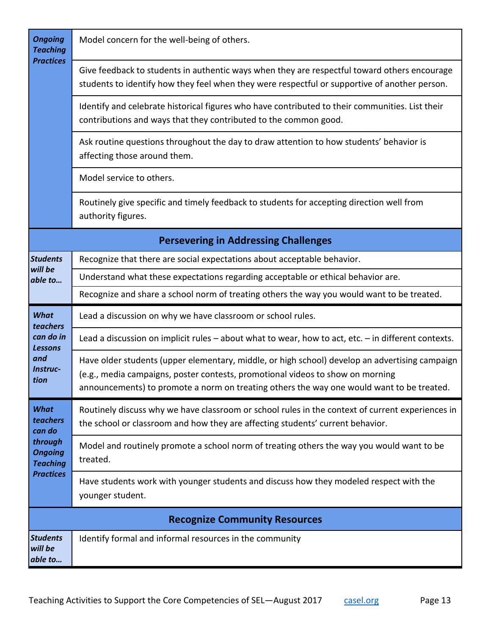| <b>Ongoing</b><br><b>Teaching</b><br><b>Practices</b>                                                 | Model concern for the well-being of others.                                                                                                                                                                                                                                   |  |
|-------------------------------------------------------------------------------------------------------|-------------------------------------------------------------------------------------------------------------------------------------------------------------------------------------------------------------------------------------------------------------------------------|--|
|                                                                                                       | Give feedback to students in authentic ways when they are respectful toward others encourage<br>students to identify how they feel when they were respectful or supportive of another person.                                                                                 |  |
|                                                                                                       | Identify and celebrate historical figures who have contributed to their communities. List their<br>contributions and ways that they contributed to the common good.                                                                                                           |  |
|                                                                                                       | Ask routine questions throughout the day to draw attention to how students' behavior is<br>affecting those around them.                                                                                                                                                       |  |
|                                                                                                       | Model service to others.                                                                                                                                                                                                                                                      |  |
|                                                                                                       | Routinely give specific and timely feedback to students for accepting direction well from<br>authority figures.                                                                                                                                                               |  |
| <b>Persevering in Addressing Challenges</b>                                                           |                                                                                                                                                                                                                                                                               |  |
| <b>Students</b>                                                                                       | Recognize that there are social expectations about acceptable behavior.                                                                                                                                                                                                       |  |
| will be<br>able to                                                                                    | Understand what these expectations regarding acceptable or ethical behavior are.                                                                                                                                                                                              |  |
|                                                                                                       | Recognize and share a school norm of treating others the way you would want to be treated.                                                                                                                                                                                    |  |
| <b>What</b><br>teachers                                                                               | Lead a discussion on why we have classroom or school rules.                                                                                                                                                                                                                   |  |
| can do in<br><b>Lessons</b><br>and<br><b>Instruc-</b><br>tion                                         | Lead a discussion on implicit rules $-$ about what to wear, how to act, etc. $-$ in different contexts.                                                                                                                                                                       |  |
|                                                                                                       | Have older students (upper elementary, middle, or high school) develop an advertising campaign<br>(e.g., media campaigns, poster contests, promotional videos to show on morning<br>announcements) to promote a norm on treating others the way one would want to be treated. |  |
| <b>What</b><br>teachers<br>can do<br>through<br><b>Ongoing</b><br><b>Teaching</b><br><b>Practices</b> | Routinely discuss why we have classroom or school rules in the context of current experiences in<br>the school or classroom and how they are affecting students' current behavior.                                                                                            |  |
|                                                                                                       | Model and routinely promote a school norm of treating others the way you would want to be<br>treated.                                                                                                                                                                         |  |
|                                                                                                       | Have students work with younger students and discuss how they modeled respect with the<br>younger student.                                                                                                                                                                    |  |
|                                                                                                       | <b>Recognize Community Resources</b>                                                                                                                                                                                                                                          |  |
| <b>Students</b><br>will be<br>able to                                                                 | Identify formal and informal resources in the community                                                                                                                                                                                                                       |  |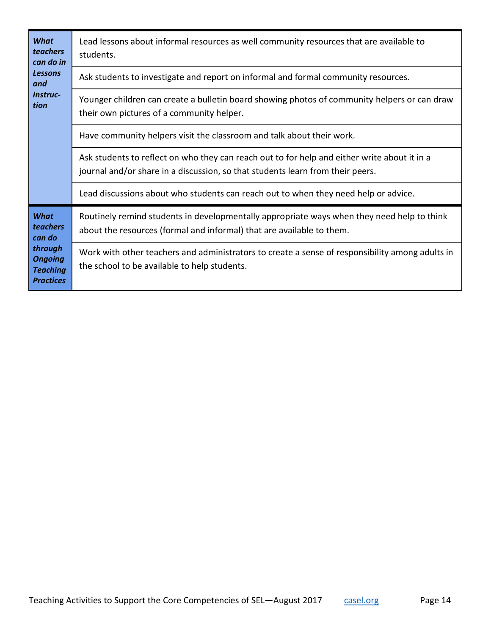| <b>What</b><br>teachers<br>can do in                                                                         | Lead lessons about informal resources as well community resources that are available to<br>students.                                                                           |
|--------------------------------------------------------------------------------------------------------------|--------------------------------------------------------------------------------------------------------------------------------------------------------------------------------|
| <b>Lessons</b><br>and                                                                                        | Ask students to investigate and report on informal and formal community resources.                                                                                             |
| Instruc-<br>tion                                                                                             | Younger children can create a bulletin board showing photos of community helpers or can draw<br>their own pictures of a community helper.                                      |
|                                                                                                              | Have community helpers visit the classroom and talk about their work.                                                                                                          |
|                                                                                                              | Ask students to reflect on who they can reach out to for help and either write about it in a<br>journal and/or share in a discussion, so that students learn from their peers. |
|                                                                                                              | Lead discussions about who students can reach out to when they need help or advice.                                                                                            |
| <b>What</b><br><b>teachers</b><br>can do<br>through<br><b>Ongoing</b><br><b>Teaching</b><br><b>Practices</b> | Routinely remind students in developmentally appropriate ways when they need help to think<br>about the resources (formal and informal) that are available to them.            |
|                                                                                                              | Work with other teachers and administrators to create a sense of responsibility among adults in<br>the school to be available to help students.                                |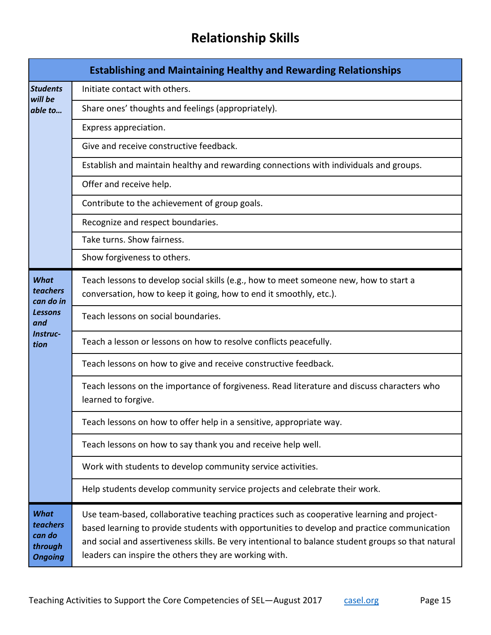# **Relationship Skills**

|                                                                       | <b>Establishing and Maintaining Healthy and Rewarding Relationships</b>                                                                                                                                                                                                                                                                                  |
|-----------------------------------------------------------------------|----------------------------------------------------------------------------------------------------------------------------------------------------------------------------------------------------------------------------------------------------------------------------------------------------------------------------------------------------------|
| <b>Students</b><br>will be<br>able to                                 | Initiate contact with others.                                                                                                                                                                                                                                                                                                                            |
|                                                                       | Share ones' thoughts and feelings (appropriately).                                                                                                                                                                                                                                                                                                       |
|                                                                       | Express appreciation.                                                                                                                                                                                                                                                                                                                                    |
|                                                                       | Give and receive constructive feedback.                                                                                                                                                                                                                                                                                                                  |
|                                                                       | Establish and maintain healthy and rewarding connections with individuals and groups.                                                                                                                                                                                                                                                                    |
|                                                                       | Offer and receive help.                                                                                                                                                                                                                                                                                                                                  |
|                                                                       | Contribute to the achievement of group goals.                                                                                                                                                                                                                                                                                                            |
|                                                                       | Recognize and respect boundaries.                                                                                                                                                                                                                                                                                                                        |
|                                                                       | Take turns. Show fairness.                                                                                                                                                                                                                                                                                                                               |
|                                                                       | Show forgiveness to others.                                                                                                                                                                                                                                                                                                                              |
| <b>What</b><br>teachers<br>can do in                                  | Teach lessons to develop social skills (e.g., how to meet someone new, how to start a<br>conversation, how to keep it going, how to end it smoothly, etc.).                                                                                                                                                                                              |
| <b>Lessons</b><br>and                                                 | Teach lessons on social boundaries.                                                                                                                                                                                                                                                                                                                      |
| Instruc-<br>tion                                                      | Teach a lesson or lessons on how to resolve conflicts peacefully.                                                                                                                                                                                                                                                                                        |
|                                                                       | Teach lessons on how to give and receive constructive feedback.                                                                                                                                                                                                                                                                                          |
|                                                                       | Teach lessons on the importance of forgiveness. Read literature and discuss characters who<br>learned to forgive.                                                                                                                                                                                                                                        |
|                                                                       | Teach lessons on how to offer help in a sensitive, appropriate way.                                                                                                                                                                                                                                                                                      |
|                                                                       | Teach lessons on how to say thank you and receive help well.                                                                                                                                                                                                                                                                                             |
|                                                                       | Work with students to develop community service activities.                                                                                                                                                                                                                                                                                              |
|                                                                       | Help students develop community service projects and celebrate their work.                                                                                                                                                                                                                                                                               |
| <b>What</b><br><b>teachers</b><br>can do<br>through<br><b>Ongoing</b> | Use team-based, collaborative teaching practices such as cooperative learning and project-<br>based learning to provide students with opportunities to develop and practice communication<br>and social and assertiveness skills. Be very intentional to balance student groups so that natural<br>leaders can inspire the others they are working with. |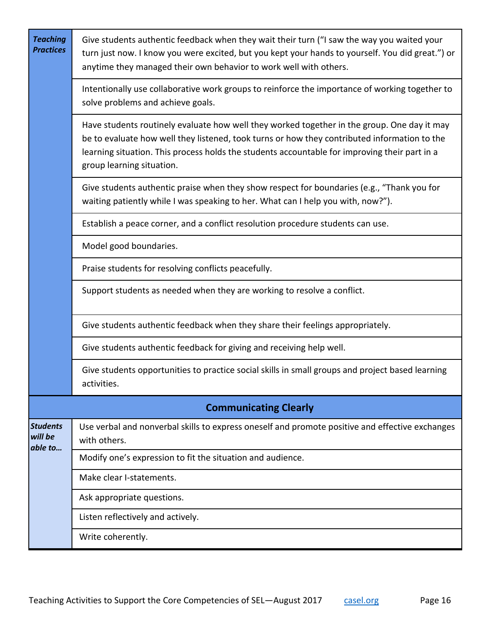| <b>Teaching</b><br><b>Practices</b>   | Give students authentic feedback when they wait their turn ("I saw the way you waited your<br>turn just now. I know you were excited, but you kept your hands to yourself. You did great.") or<br>anytime they managed their own behavior to work well with others.                                                       |
|---------------------------------------|---------------------------------------------------------------------------------------------------------------------------------------------------------------------------------------------------------------------------------------------------------------------------------------------------------------------------|
|                                       | Intentionally use collaborative work groups to reinforce the importance of working together to<br>solve problems and achieve goals.                                                                                                                                                                                       |
|                                       | Have students routinely evaluate how well they worked together in the group. One day it may<br>be to evaluate how well they listened, took turns or how they contributed information to the<br>learning situation. This process holds the students accountable for improving their part in a<br>group learning situation. |
|                                       | Give students authentic praise when they show respect for boundaries (e.g., "Thank you for<br>waiting patiently while I was speaking to her. What can I help you with, now?").                                                                                                                                            |
|                                       | Establish a peace corner, and a conflict resolution procedure students can use.                                                                                                                                                                                                                                           |
|                                       | Model good boundaries.                                                                                                                                                                                                                                                                                                    |
|                                       | Praise students for resolving conflicts peacefully.                                                                                                                                                                                                                                                                       |
|                                       | Support students as needed when they are working to resolve a conflict.                                                                                                                                                                                                                                                   |
|                                       | Give students authentic feedback when they share their feelings appropriately.                                                                                                                                                                                                                                            |
|                                       | Give students authentic feedback for giving and receiving help well.                                                                                                                                                                                                                                                      |
|                                       | Give students opportunities to practice social skills in small groups and project based learning<br>activities.                                                                                                                                                                                                           |
|                                       | <b>Communicating Clearly</b>                                                                                                                                                                                                                                                                                              |
| <b>Students</b><br>will be<br>able to | Use verbal and nonverbal skills to express oneself and promote positive and effective exchanges<br>with others.                                                                                                                                                                                                           |
|                                       | Modify one's expression to fit the situation and audience.                                                                                                                                                                                                                                                                |
|                                       | Make clear I-statements.                                                                                                                                                                                                                                                                                                  |
|                                       | Ask appropriate questions.                                                                                                                                                                                                                                                                                                |
|                                       | Listen reflectively and actively.                                                                                                                                                                                                                                                                                         |
|                                       | Write coherently.                                                                                                                                                                                                                                                                                                         |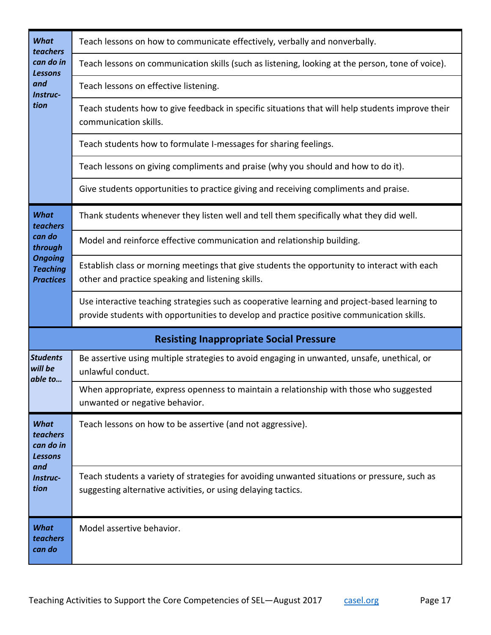| What<br><b>teachers</b><br>can do in<br>Lessons<br>and<br>Instruc-<br>tion        | Teach lessons on how to communicate effectively, verbally and nonverbally.                                                                                                                   |  |
|-----------------------------------------------------------------------------------|----------------------------------------------------------------------------------------------------------------------------------------------------------------------------------------------|--|
|                                                                                   | Teach lessons on communication skills (such as listening, looking at the person, tone of voice).                                                                                             |  |
|                                                                                   | Teach lessons on effective listening.                                                                                                                                                        |  |
|                                                                                   | Teach students how to give feedback in specific situations that will help students improve their<br>communication skills.                                                                    |  |
|                                                                                   | Teach students how to formulate I-messages for sharing feelings.                                                                                                                             |  |
|                                                                                   | Teach lessons on giving compliments and praise (why you should and how to do it).                                                                                                            |  |
|                                                                                   | Give students opportunities to practice giving and receiving compliments and praise.                                                                                                         |  |
| <b>What</b><br>teachers                                                           | Thank students whenever they listen well and tell them specifically what they did well.                                                                                                      |  |
| can do<br>through<br><b>Ongoing</b><br><b>Teaching</b><br><b>Practices</b>        | Model and reinforce effective communication and relationship building.                                                                                                                       |  |
|                                                                                   | Establish class or morning meetings that give students the opportunity to interact with each<br>other and practice speaking and listening skills.                                            |  |
|                                                                                   | Use interactive teaching strategies such as cooperative learning and project-based learning to<br>provide students with opportunities to develop and practice positive communication skills. |  |
| <b>Resisting Inappropriate Social Pressure</b>                                    |                                                                                                                                                                                              |  |
| <b>Students</b><br>will be<br>able to                                             | Be assertive using multiple strategies to avoid engaging in unwanted, unsafe, unethical, or<br>unlawful conduct.                                                                             |  |
|                                                                                   | When appropriate, express openness to maintain a relationship with those who suggested<br>unwanted or negative behavior.                                                                     |  |
| What<br><b>teachers</b><br>can do in<br><b>Lessons</b><br>and<br>Instruc-<br>tion | Teach lessons on how to be assertive (and not aggressive).                                                                                                                                   |  |
|                                                                                   | Teach students a variety of strategies for avoiding unwanted situations or pressure, such as<br>suggesting alternative activities, or using delaying tactics.                                |  |
| <b>What</b><br><b>teachers</b><br>can do                                          | Model assertive behavior.                                                                                                                                                                    |  |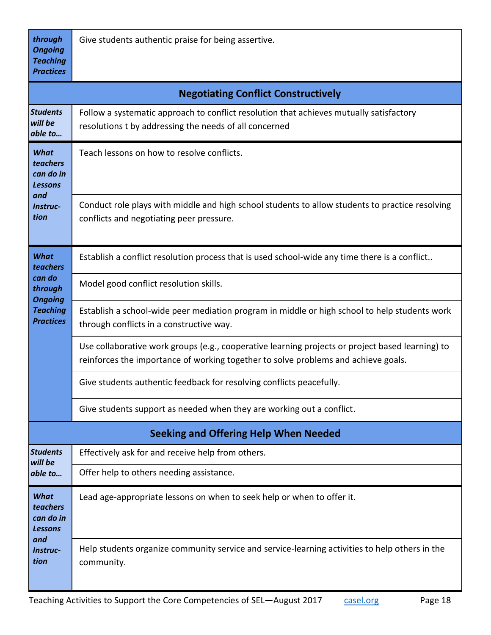| through<br><b>Ongoing</b><br><b>Teaching</b><br><b>Practices</b>                                             | Give students authentic praise for being assertive.                                                                                                                                    |  |
|--------------------------------------------------------------------------------------------------------------|----------------------------------------------------------------------------------------------------------------------------------------------------------------------------------------|--|
| <b>Negotiating Conflict Constructively</b>                                                                   |                                                                                                                                                                                        |  |
| <b>Students</b><br>will be<br>able to                                                                        | Follow a systematic approach to conflict resolution that achieves mutually satisfactory<br>resolutions t by addressing the needs of all concerned                                      |  |
| What<br>teachers<br>can do in<br><b>Lessons</b><br>and<br>Instruc-<br>tion                                   | Teach lessons on how to resolve conflicts.                                                                                                                                             |  |
|                                                                                                              | Conduct role plays with middle and high school students to allow students to practice resolving<br>conflicts and negotiating peer pressure.                                            |  |
| <b>What</b><br><b>teachers</b><br>can do<br>through<br><b>Ongoing</b><br><b>Teaching</b><br><b>Practices</b> | Establish a conflict resolution process that is used school-wide any time there is a conflict                                                                                          |  |
|                                                                                                              | Model good conflict resolution skills.                                                                                                                                                 |  |
|                                                                                                              | Establish a school-wide peer mediation program in middle or high school to help students work<br>through conflicts in a constructive way.                                              |  |
|                                                                                                              | Use collaborative work groups (e.g., cooperative learning projects or project based learning) to<br>reinforces the importance of working together to solve problems and achieve goals. |  |
|                                                                                                              | Give students authentic feedback for resolving conflicts peacefully.                                                                                                                   |  |
|                                                                                                              | Give students support as needed when they are working out a conflict.                                                                                                                  |  |
|                                                                                                              | <b>Seeking and Offering Help When Needed</b>                                                                                                                                           |  |
| <b>Students</b><br>will be                                                                                   | Effectively ask for and receive help from others.                                                                                                                                      |  |
| able to                                                                                                      | Offer help to others needing assistance.                                                                                                                                               |  |
| What<br><b>teachers</b><br>can do in<br>Lessons<br>and<br><i><b>Instruc-</b></i><br>tion                     | Lead age-appropriate lessons on when to seek help or when to offer it.                                                                                                                 |  |
|                                                                                                              | Help students organize community service and service-learning activities to help others in the<br>community.                                                                           |  |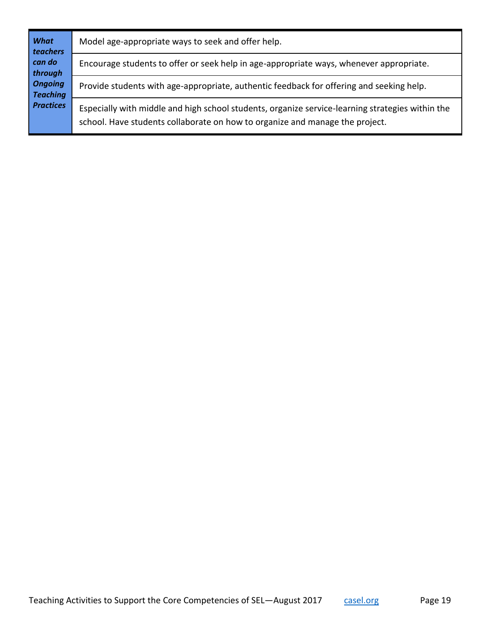| What<br>teachers<br>can do<br>through<br><b>Ongoing</b><br><b>Teaching</b><br><b>Practices</b> | Model age-appropriate ways to seek and offer help.                                                                                                                               |
|------------------------------------------------------------------------------------------------|----------------------------------------------------------------------------------------------------------------------------------------------------------------------------------|
|                                                                                                | Encourage students to offer or seek help in age-appropriate ways, whenever appropriate.                                                                                          |
|                                                                                                | Provide students with age-appropriate, authentic feedback for offering and seeking help.                                                                                         |
|                                                                                                | Especially with middle and high school students, organize service-learning strategies within the<br>school. Have students collaborate on how to organize and manage the project. |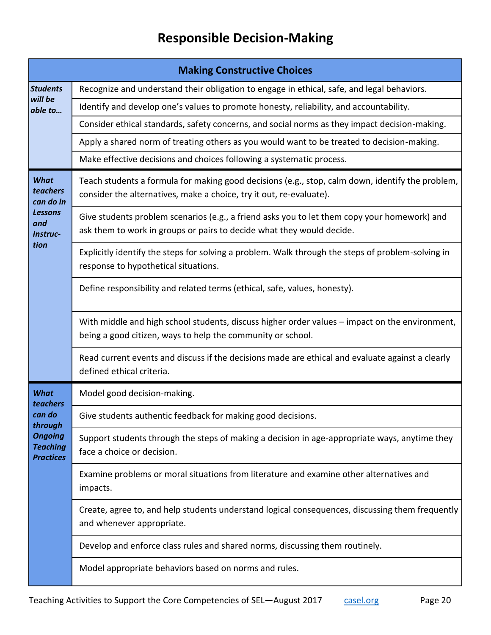# **Responsible Decision-Making**

| <b>Making Constructive Choices</b>                                                |                                                                                                                                                                         |  |
|-----------------------------------------------------------------------------------|-------------------------------------------------------------------------------------------------------------------------------------------------------------------------|--|
| <b>Students</b><br>will be<br>able to                                             | Recognize and understand their obligation to engage in ethical, safe, and legal behaviors.                                                                              |  |
|                                                                                   | Identify and develop one's values to promote honesty, reliability, and accountability.                                                                                  |  |
|                                                                                   | Consider ethical standards, safety concerns, and social norms as they impact decision-making.                                                                           |  |
|                                                                                   | Apply a shared norm of treating others as you would want to be treated to decision-making.                                                                              |  |
|                                                                                   | Make effective decisions and choices following a systematic process.                                                                                                    |  |
| <b>What</b><br>teachers<br>can do in<br><b>Lessons</b><br>and<br>Instruc-<br>tion | Teach students a formula for making good decisions (e.g., stop, calm down, identify the problem,<br>consider the alternatives, make a choice, try it out, re-evaluate). |  |
|                                                                                   | Give students problem scenarios (e.g., a friend asks you to let them copy your homework) and<br>ask them to work in groups or pairs to decide what they would decide.   |  |
|                                                                                   | Explicitly identify the steps for solving a problem. Walk through the steps of problem-solving in<br>response to hypothetical situations.                               |  |
|                                                                                   | Define responsibility and related terms (ethical, safe, values, honesty).                                                                                               |  |
|                                                                                   | With middle and high school students, discuss higher order values – impact on the environment,<br>being a good citizen, ways to help the community or school.           |  |
|                                                                                   | Read current events and discuss if the decisions made are ethical and evaluate against a clearly<br>defined ethical criteria.                                           |  |
| <b>What</b><br>teachers                                                           | Model good decision-making.                                                                                                                                             |  |
| can do<br>through<br><b>Ongoing</b><br><b>Teaching</b><br><b>Practices</b>        | Give students authentic feedback for making good decisions.                                                                                                             |  |
|                                                                                   | Support students through the steps of making a decision in age-appropriate ways, anytime they<br>face a choice or decision.                                             |  |
|                                                                                   | Examine problems or moral situations from literature and examine other alternatives and<br>impacts.                                                                     |  |
|                                                                                   | Create, agree to, and help students understand logical consequences, discussing them frequently<br>and whenever appropriate.                                            |  |
|                                                                                   | Develop and enforce class rules and shared norms, discussing them routinely.                                                                                            |  |
|                                                                                   | Model appropriate behaviors based on norms and rules.                                                                                                                   |  |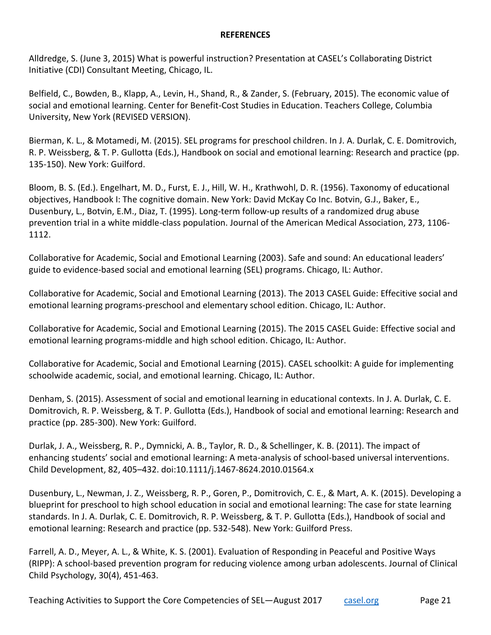#### **REFERENCES**

Alldredge, S. (June 3, 2015) What is powerful instruction? Presentation at CASEL's Collaborating District Initiative (CDI) Consultant Meeting, Chicago, IL.

Belfield, C., Bowden, B., Klapp, A., Levin, H., Shand, R., & Zander, S. (February, 2015). The economic value of social and emotional learning. Center for Benefit-Cost Studies in Education. Teachers College, Columbia University, New York (REVISED VERSION).

Bierman, K. L., & Motamedi, M. (2015). SEL programs for preschool children. In J. A. Durlak, C. E. Domitrovich, R. P. Weissberg, & T. P. Gullotta (Eds.), Handbook on social and emotional learning: Research and practice (pp. 135-150). New York: Guilford.

Bloom, B. S. (Ed.). Engelhart, M. D., Furst, E. J., Hill, W. H., Krathwohl, D. R. (1956). Taxonomy of educational objectives, Handbook I: The cognitive domain. New York: David McKay Co Inc. Botvin, G.J., Baker, E., Dusenbury, L., Botvin, E.M., Diaz, T. (1995). Long-term follow-up results of a randomized drug abuse prevention trial in a white middle-class population. Journal of the American Medical Association, 273, 1106- 1112.

Collaborative for Academic, Social and Emotional Learning (2003). Safe and sound: An educational leaders' guide to evidence-based social and emotional learning (SEL) programs. Chicago, IL: Author.

Collaborative for Academic, Social and Emotional Learning (2013). The 2013 CASEL Guide: Effecitive social and emotional learning programs-preschool and elementary school edition. Chicago, IL: Author.

Collaborative for Academic, Social and Emotional Learning (2015). The 2015 CASEL Guide: Effective social and emotional learning programs-middle and high school edition. Chicago, IL: Author.

Collaborative for Academic, Social and Emotional Learning (2015). CASEL schoolkit: A guide for implementing schoolwide academic, social, and emotional learning. Chicago, IL: Author.

Denham, S. (2015). Assessment of social and emotional learning in educational contexts. In J. A. Durlak, C. E. Domitrovich, R. P. Weissberg, & T. P. Gullotta (Eds.), Handbook of social and emotional learning: Research and practice (pp. 285-300). New York: Guilford.

Durlak, J. A., Weissberg, R. P., Dymnicki, A. B., Taylor, R. D., & Schellinger, K. B. (2011). The impact of enhancing students' social and emotional learning: A meta-analysis of school-based universal interventions. Child Development, 82, 405–432. doi:10.1111/j.1467-8624.2010.01564.x

Dusenbury, L., Newman, J. Z., Weissberg, R. P., Goren, P., Domitrovich, C. E., & Mart, A. K. (2015). Developing a blueprint for preschool to high school education in social and emotional learning: The case for state learning standards. In J. A. Durlak, C. E. Domitrovich, R. P. Weissberg, & T. P. Gullotta (Eds.), Handbook of social and emotional learning: Research and practice (pp. 532-548). New York: Guilford Press.

Farrell, A. D., Meyer, A. L., & White, K. S. (2001). Evaluation of Responding in Peaceful and Positive Ways (RIPP): A school-based prevention program for reducing violence among urban adolescents. Journal of Clinical Child Psychology, 30(4), 451-463.

Teaching Activities to Support the Core Competencies of SEL—August 2017 [casel.org](http://www.casel.org/) Page 21